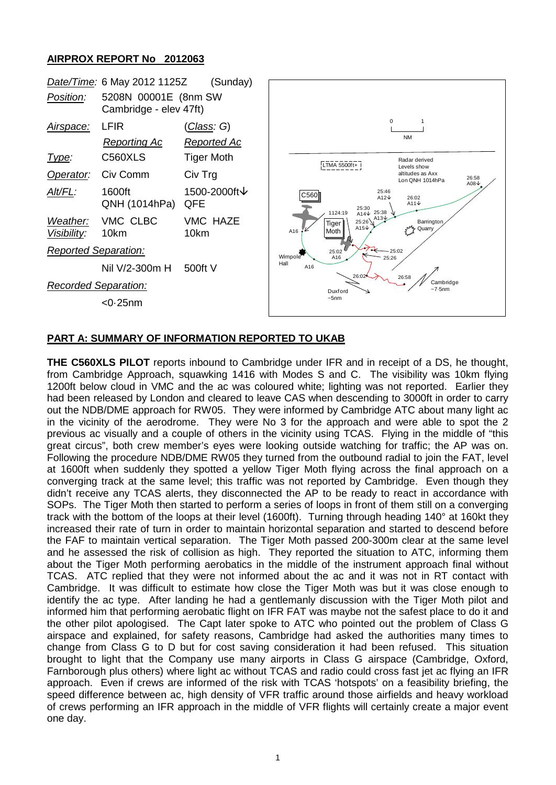## **AIRPROX REPORT No 2012063**



## **PART A: SUMMARY OF INFORMATION REPORTED TO UKAB**

**THE C560XLS PILOT** reports inbound to Cambridge under IFR and in receipt of a DS, he thought, from Cambridge Approach, squawking 1416 with Modes S and C. The visibility was 10km flying 1200ft below cloud in VMC and the ac was coloured white; lighting was not reported. Earlier they had been released by London and cleared to leave CAS when descending to 3000ft in order to carry out the NDB/DME approach for RW05. They were informed by Cambridge ATC about many light ac in the vicinity of the aerodrome. They were No 3 for the approach and were able to spot the 2 previous ac visually and a couple of others in the vicinity using TCAS. Flying in the middle of "this great circus", both crew member's eyes were looking outside watching for traffic; the AP was on. Following the procedure NDB/DME RW05 they turned from the outbound radial to join the FAT, level at 1600ft when suddenly they spotted a yellow Tiger Moth flying across the final approach on a converging track at the same level; this traffic was not reported by Cambridge. Even though they didn't receive any TCAS alerts, they disconnected the AP to be ready to react in accordance with SOPs. The Tiger Moth then started to perform a series of loops in front of them still on a converging track with the bottom of the loops at their level (1600ft). Turning through heading 140° at 160kt they increased their rate of turn in order to maintain horizontal separation and started to descend before the FAF to maintain vertical separation. The Tiger Moth passed 200-300m clear at the same level and he assessed the risk of collision as high. They reported the situation to ATC, informing them about the Tiger Moth performing aerobatics in the middle of the instrument approach final without TCAS. ATC replied that they were not informed about the ac and it was not in RT contact with Cambridge. It was difficult to estimate how close the Tiger Moth was but it was close enough to identify the ac type. After landing he had a gentlemanly discussion with the Tiger Moth pilot and informed him that performing aerobatic flight on IFR FAT was maybe not the safest place to do it and the other pilot apologised. The Capt later spoke to ATC who pointed out the problem of Class G airspace and explained, for safety reasons, Cambridge had asked the authorities many times to change from Class G to D but for cost saving consideration it had been refused. This situation brought to light that the Company use many airports in Class G airspace (Cambridge, Oxford, Farnborough plus others) where light ac without TCAS and radio could cross fast jet ac flying an IFR approach. Even if crews are informed of the risk with TCAS 'hotspots' on a feasibility briefing, the speed difference between ac, high density of VFR traffic around those airfields and heavy workload of crews performing an IFR approach in the middle of VFR flights will certainly create a major event one day.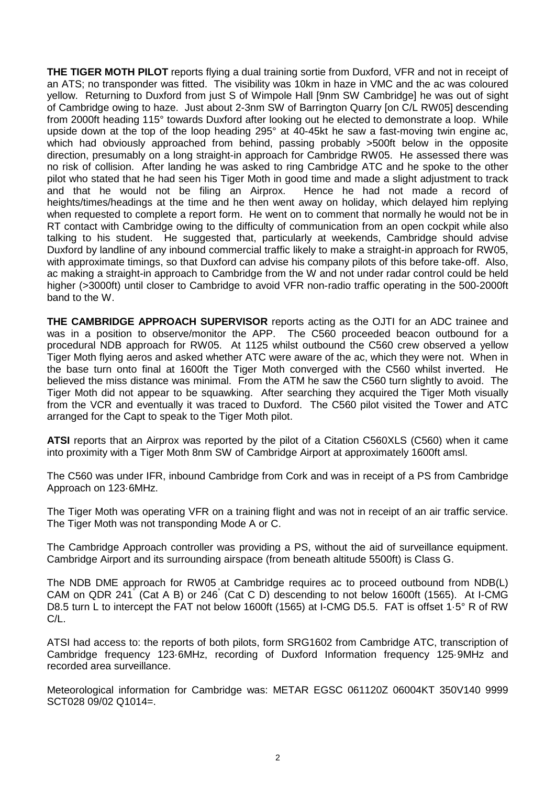**THE TIGER MOTH PILOT** reports flying a dual training sortie from Duxford, VFR and not in receipt of an ATS; no transponder was fitted. The visibility was 10km in haze in VMC and the ac was coloured yellow. Returning to Duxford from just S of Wimpole Hall [9nm SW Cambridge] he was out of sight of Cambridge owing to haze. Just about 2-3nm SW of Barrington Quarry [on C/L RW05] descending from 2000ft heading 115° towards Duxford after looking out he elected to demonstrate a loop. While upside down at the top of the loop heading 295° at 40-45kt he saw a fast-moving twin engine ac, which had obviously approached from behind, passing probably >500ft below in the opposite direction, presumably on a long straight-in approach for Cambridge RW05. He assessed there was no risk of collision. After landing he was asked to ring Cambridge ATC and he spoke to the other pilot who stated that he had seen his Tiger Moth in good time and made a slight adjustment to track and that he would not be filing an Airprox. Hence he had not made a record of heights/times/headings at the time and he then went away on holiday, which delayed him replying when requested to complete a report form. He went on to comment that normally he would not be in RT contact with Cambridge owing to the difficulty of communication from an open cockpit while also talking to his student. He suggested that, particularly at weekends, Cambridge should advise Duxford by landline of any inbound commercial traffic likely to make a straight-in approach for RW05, with approximate timings, so that Duxford can advise his company pilots of this before take-off. Also, ac making a straight-in approach to Cambridge from the W and not under radar control could be held higher (>3000ft) until closer to Cambridge to avoid VFR non-radio traffic operating in the 500-2000ft band to the W.

**THE CAMBRIDGE APPROACH SUPERVISOR** reports acting as the OJTI for an ADC trainee and was in a position to observe/monitor the APP. The C560 proceeded beacon outbound for a procedural NDB approach for RW05. At 1125 whilst outbound the C560 crew observed a yellow Tiger Moth flying aeros and asked whether ATC were aware of the ac, which they were not. When in the base turn onto final at 1600ft the Tiger Moth converged with the C560 whilst inverted. He believed the miss distance was minimal. From the ATM he saw the C560 turn slightly to avoid. The Tiger Moth did not appear to be squawking. After searching they acquired the Tiger Moth visually from the VCR and eventually it was traced to Duxford. The C560 pilot visited the Tower and ATC arranged for the Capt to speak to the Tiger Moth pilot.

**ATSI** reports that an Airprox was reported by the pilot of a Citation C560XLS (C560) when it came into proximity with a Tiger Moth 8nm SW of Cambridge Airport at approximately 1600ft amsl.

The C560 was under IFR, inbound Cambridge from Cork and was in receipt of a PS from Cambridge Approach on 123·6MHz.

The Tiger Moth was operating VFR on a training flight and was not in receipt of an air traffic service. The Tiger Moth was not transponding Mode A or C.

The Cambridge Approach controller was providing a PS, without the aid of surveillance equipment. Cambridge Airport and its surrounding airspace (from beneath altitude 5500ft) is Class G.

The NDB DME approach for RW05 at Cambridge requires ac to proceed outbound from NDB(L) CAM on QDR 241° (Cat A B) or 246° (Cat C D) descending to not below 1600ft (1565). At I-CMG D8.5 turn L to intercept the FAT not below 1600ft (1565) at I-CMG D5.5. FAT is offset 1.5° R of RW C/L.

ATSI had access to: the reports of both pilots, form SRG1602 from Cambridge ATC, transcription of Cambridge frequency 123·6MHz, recording of Duxford Information frequency 125·9MHz and recorded area surveillance.

Meteorological information for Cambridge was: METAR EGSC 061120Z 06004KT 350V140 9999 SCT028 09/02 Q1014=.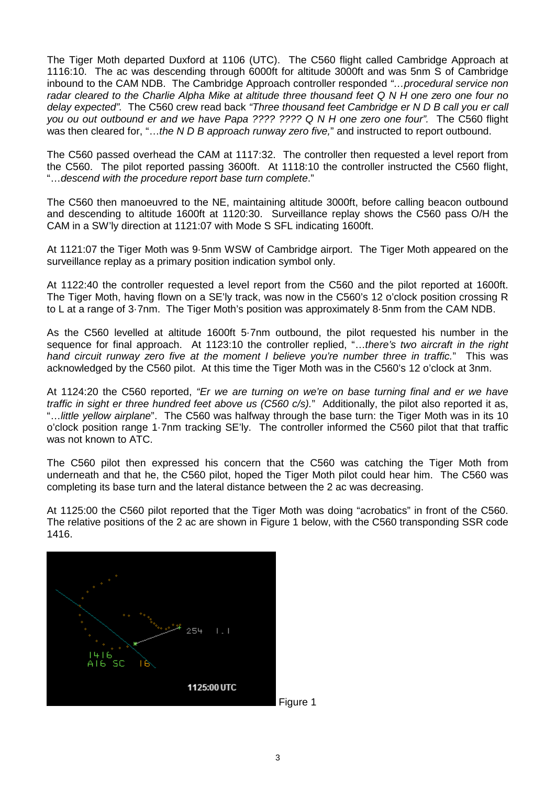The Tiger Moth departed Duxford at 1106 (UTC). The C560 flight called Cambridge Approach at 1116:10. The ac was descending through 6000ft for altitude 3000ft and was 5nm S of Cambridge inbound to the CAM NDB. The Cambridge Approach controller responded *"…procedural service non radar cleared to the Charlie Alpha Mike at altitude three thousand feet Q N H one zero one four no delay expected".* The C560 crew read back *"Three thousand feet Cambridge er N D B call you er call you ou out outbound er and we have Papa ???? ???? Q N H one zero one four".* The C560 flight was then cleared for, "…*the N D B approach runway zero five,*" and instructed to report outbound.

The C560 passed overhead the CAM at 1117:32. The controller then requested a level report from the C560. The pilot reported passing 3600ft. At 1118:10 the controller instructed the C560 flight, "…*descend with the procedure report base turn complete*."

The C560 then manoeuvred to the NE, maintaining altitude 3000ft, before calling beacon outbound and descending to altitude 1600ft at 1120:30. Surveillance replay shows the C560 pass O/H the CAM in a SW'ly direction at 1121:07 with Mode S SFL indicating 1600ft.

At 1121:07 the Tiger Moth was 9·5nm WSW of Cambridge airport. The Tiger Moth appeared on the surveillance replay as a primary position indication symbol only.

At 1122:40 the controller requested a level report from the C560 and the pilot reported at 1600ft. The Tiger Moth, having flown on a SE'ly track, was now in the C560's 12 o'clock position crossing R to L at a range of 3·7nm. The Tiger Moth's position was approximately 8·5nm from the CAM NDB.

As the C560 levelled at altitude 1600ft 5·7nm outbound, the pilot requested his number in the sequence for final approach. At 1123:10 the controller replied, "…*there's two aircraft in the right hand circuit runway zero five at the moment I believe you're number three in traffic.*" This was acknowledged by the C560 pilot. At this time the Tiger Moth was in the C560's 12 o'clock at 3nm.

At 1124:20 the C560 reported, *"Er we are turning on we're on base turning final and er we have traffic in sight er three hundred feet above us (C560 c/s).*" Additionally, the pilot also reported it as, "…*little yellow airplane*". The C560 was halfway through the base turn: the Tiger Moth was in its 10 o'clock position range 1·7nm tracking SE'ly. The controller informed the C560 pilot that that traffic was not known to ATC.

The C560 pilot then expressed his concern that the C560 was catching the Tiger Moth from underneath and that he, the C560 pilot, hoped the Tiger Moth pilot could hear him. The C560 was completing its base turn and the lateral distance between the 2 ac was decreasing.

At 1125:00 the C560 pilot reported that the Tiger Moth was doing "acrobatics" in front of the C560. The relative positions of the 2 ac are shown in Figure 1 below, with the C560 transponding SSR code 1416.

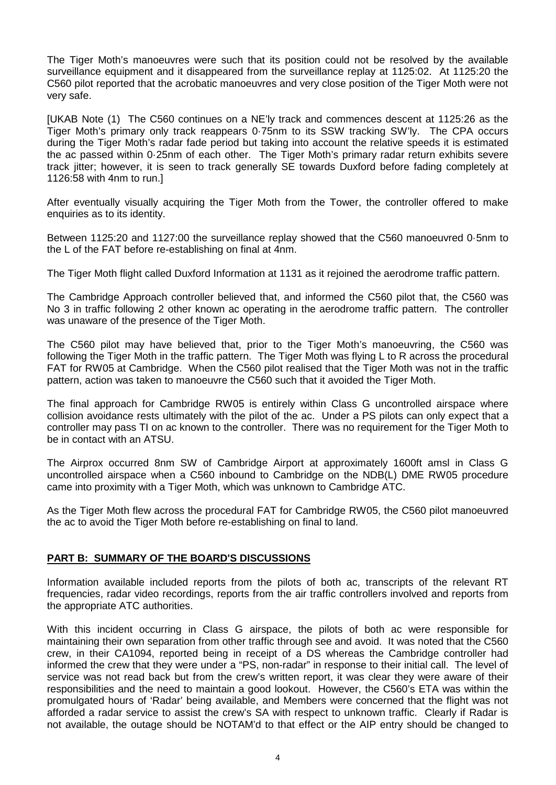The Tiger Moth's manoeuvres were such that its position could not be resolved by the available surveillance equipment and it disappeared from the surveillance replay at 1125:02. At 1125:20 the C560 pilot reported that the acrobatic manoeuvres and very close position of the Tiger Moth were not very safe.

[UKAB Note (1) The C560 continues on a NE'ly track and commences descent at 1125:26 as the Tiger Moth's primary only track reappears 0·75nm to its SSW tracking SW'ly. The CPA occurs during the Tiger Moth's radar fade period but taking into account the relative speeds it is estimated the ac passed within 0·25nm of each other. The Tiger Moth's primary radar return exhibits severe track jitter; however, it is seen to track generally SE towards Duxford before fading completely at 1126:58 with 4nm to run.]

After eventually visually acquiring the Tiger Moth from the Tower, the controller offered to make enquiries as to its identity.

Between 1125:20 and 1127:00 the surveillance replay showed that the C560 manoeuvred 0·5nm to the L of the FAT before re-establishing on final at 4nm.

The Tiger Moth flight called Duxford Information at 1131 as it rejoined the aerodrome traffic pattern.

The Cambridge Approach controller believed that, and informed the C560 pilot that, the C560 was No 3 in traffic following 2 other known ac operating in the aerodrome traffic pattern. The controller was unaware of the presence of the Tiger Moth.

The C560 pilot may have believed that, prior to the Tiger Moth's manoeuvring, the C560 was following the Tiger Moth in the traffic pattern. The Tiger Moth was flying L to R across the procedural FAT for RW05 at Cambridge. When the C560 pilot realised that the Tiger Moth was not in the traffic pattern, action was taken to manoeuvre the C560 such that it avoided the Tiger Moth.

The final approach for Cambridge RW05 is entirely within Class G uncontrolled airspace where collision avoidance rests ultimately with the pilot of the ac. Under a PS pilots can only expect that a controller may pass TI on ac known to the controller. There was no requirement for the Tiger Moth to be in contact with an ATSU.

The Airprox occurred 8nm SW of Cambridge Airport at approximately 1600ft amsl in Class G uncontrolled airspace when a C560 inbound to Cambridge on the NDB(L) DME RW05 procedure came into proximity with a Tiger Moth, which was unknown to Cambridge ATC.

As the Tiger Moth flew across the procedural FAT for Cambridge RW05, the C560 pilot manoeuvred the ac to avoid the Tiger Moth before re-establishing on final to land.

## **PART B: SUMMARY OF THE BOARD'S DISCUSSIONS**

Information available included reports from the pilots of both ac, transcripts of the relevant RT frequencies, radar video recordings, reports from the air traffic controllers involved and reports from the appropriate ATC authorities.

With this incident occurring in Class G airspace, the pilots of both ac were responsible for maintaining their own separation from other traffic through see and avoid. It was noted that the C560 crew, in their CA1094, reported being in receipt of a DS whereas the Cambridge controller had informed the crew that they were under a "PS, non-radar" in response to their initial call. The level of service was not read back but from the crew's written report, it was clear they were aware of their responsibilities and the need to maintain a good lookout. However, the C560's ETA was within the promulgated hours of 'Radar' being available, and Members were concerned that the flight was not afforded a radar service to assist the crew's SA with respect to unknown traffic. Clearly if Radar is not available, the outage should be NOTAM'd to that effect or the AIP entry should be changed to